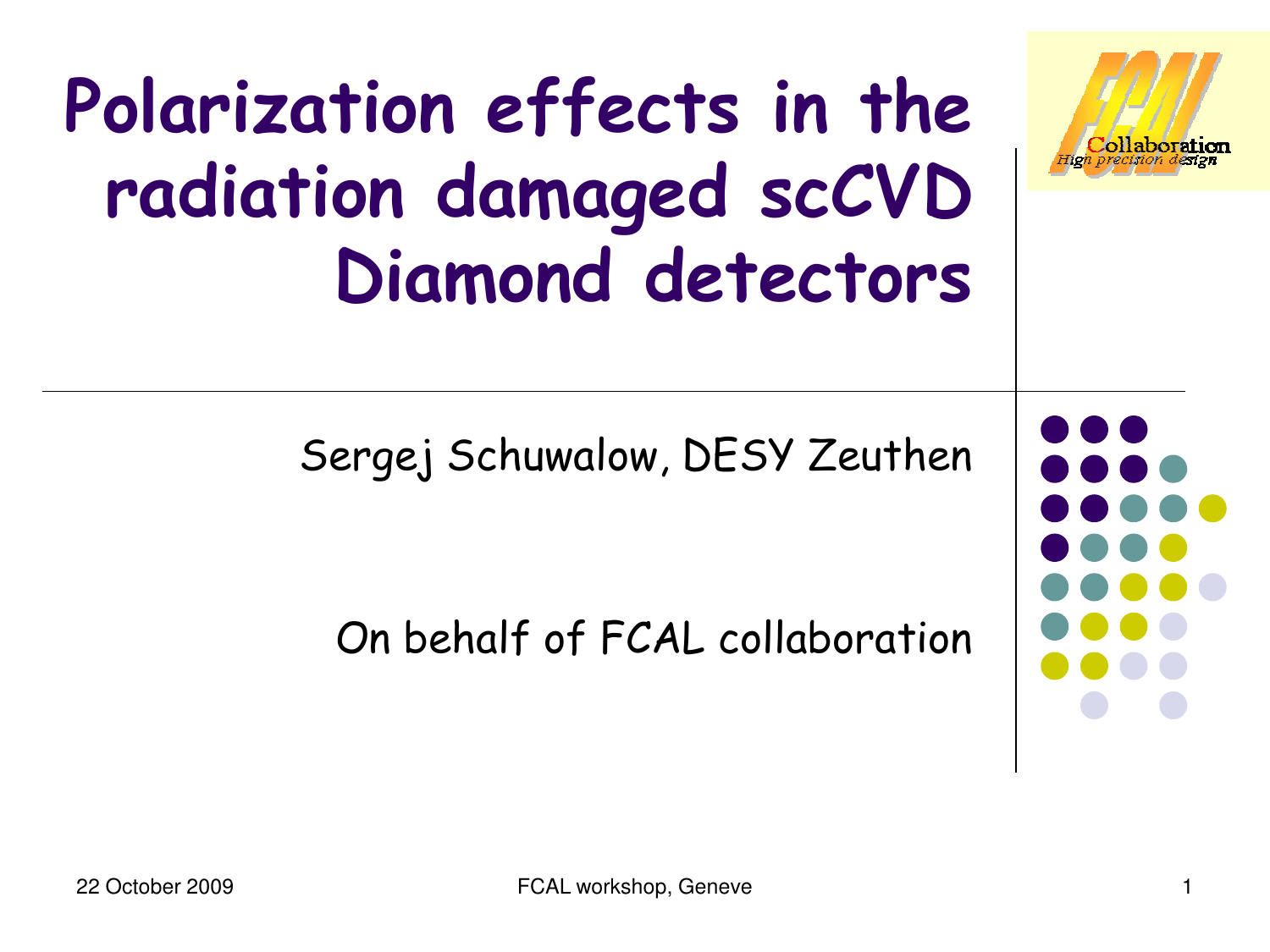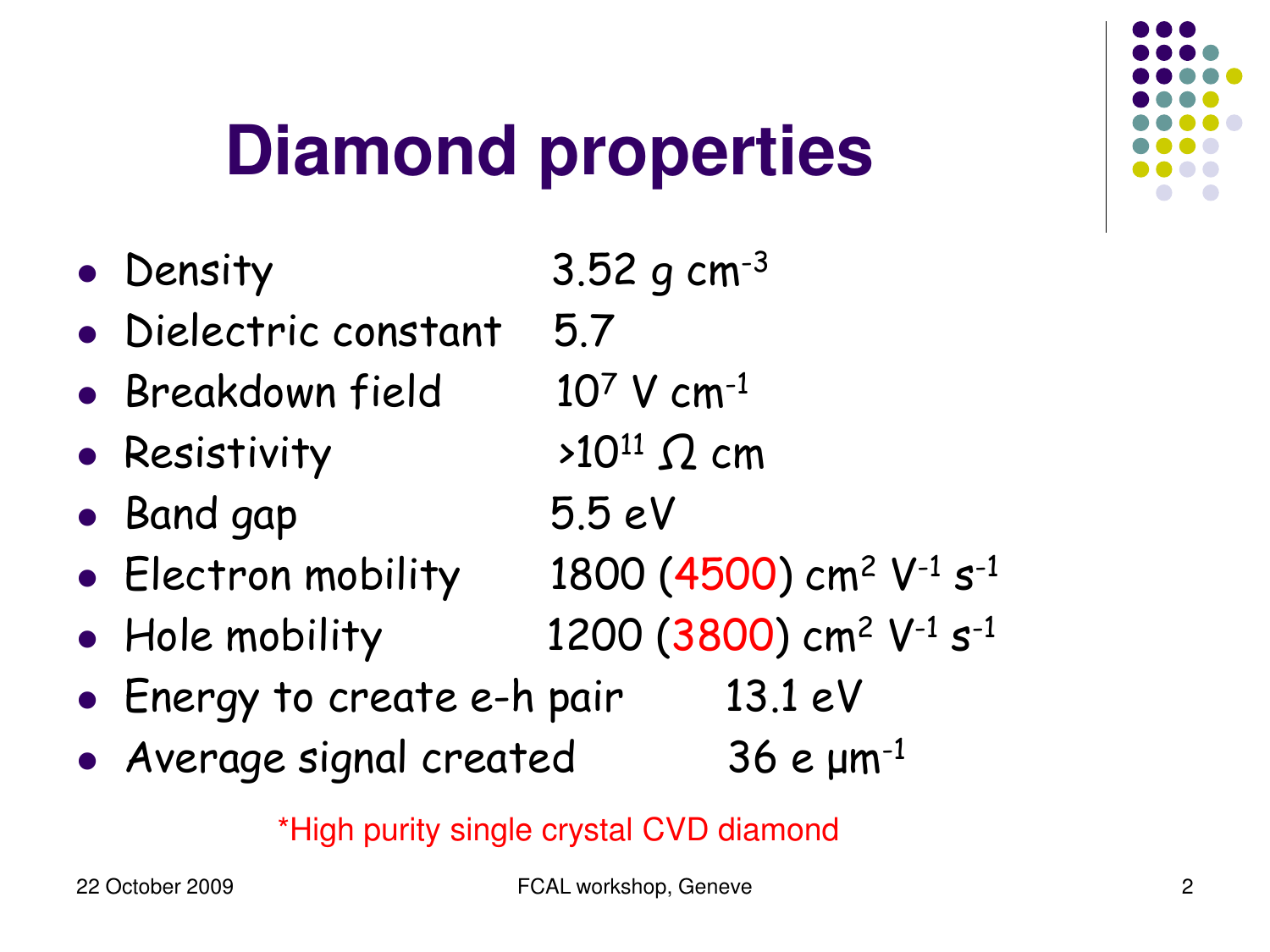

### **Diamond properties**

- Density  $3.52$  g cm<sup>-3</sup>
- Dielectric constant 5.7
- Breakdown field  $10^7$  V cm<sup>-1</sup>
- Resistivity
- Band gap 5.5 eV
- Electron mobility  $1800 (4500)$  cm<sup>2</sup> V<sup>-1</sup> s<sup>-1</sup>
- Hole mobility  $1200(3800)$  cm<sup>2</sup> V<sup>-1</sup> s<sup>-1</sup>
- Energy to create e-h pair 13.1 eV
- Average signal created  $36$  e  $\mu$ m<sup>-1</sup>

\*High purity single crystal CVD diamond

 $>10^{11}$   $\Omega$  cm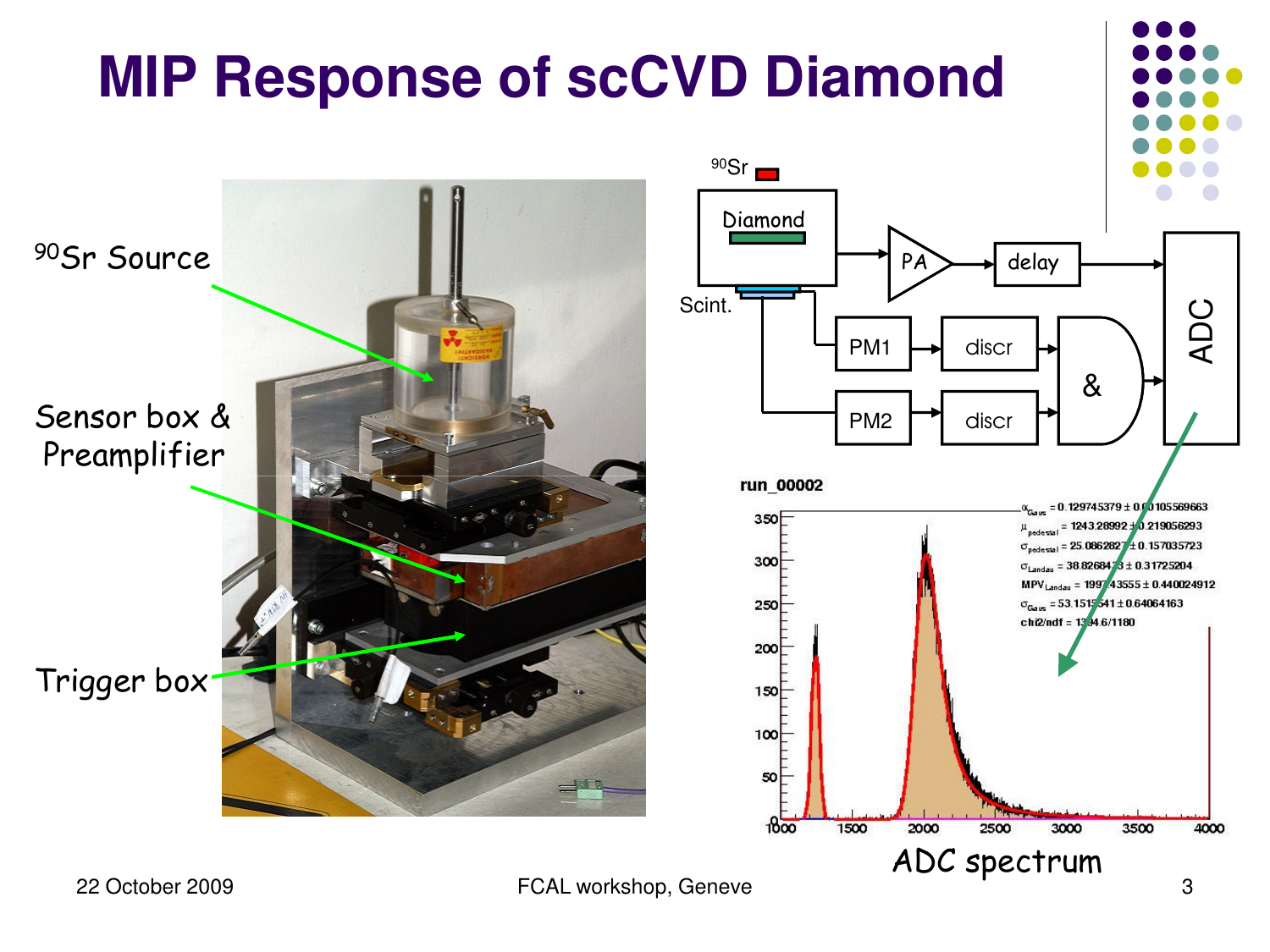### **MIP Response of scCVD Diamond**



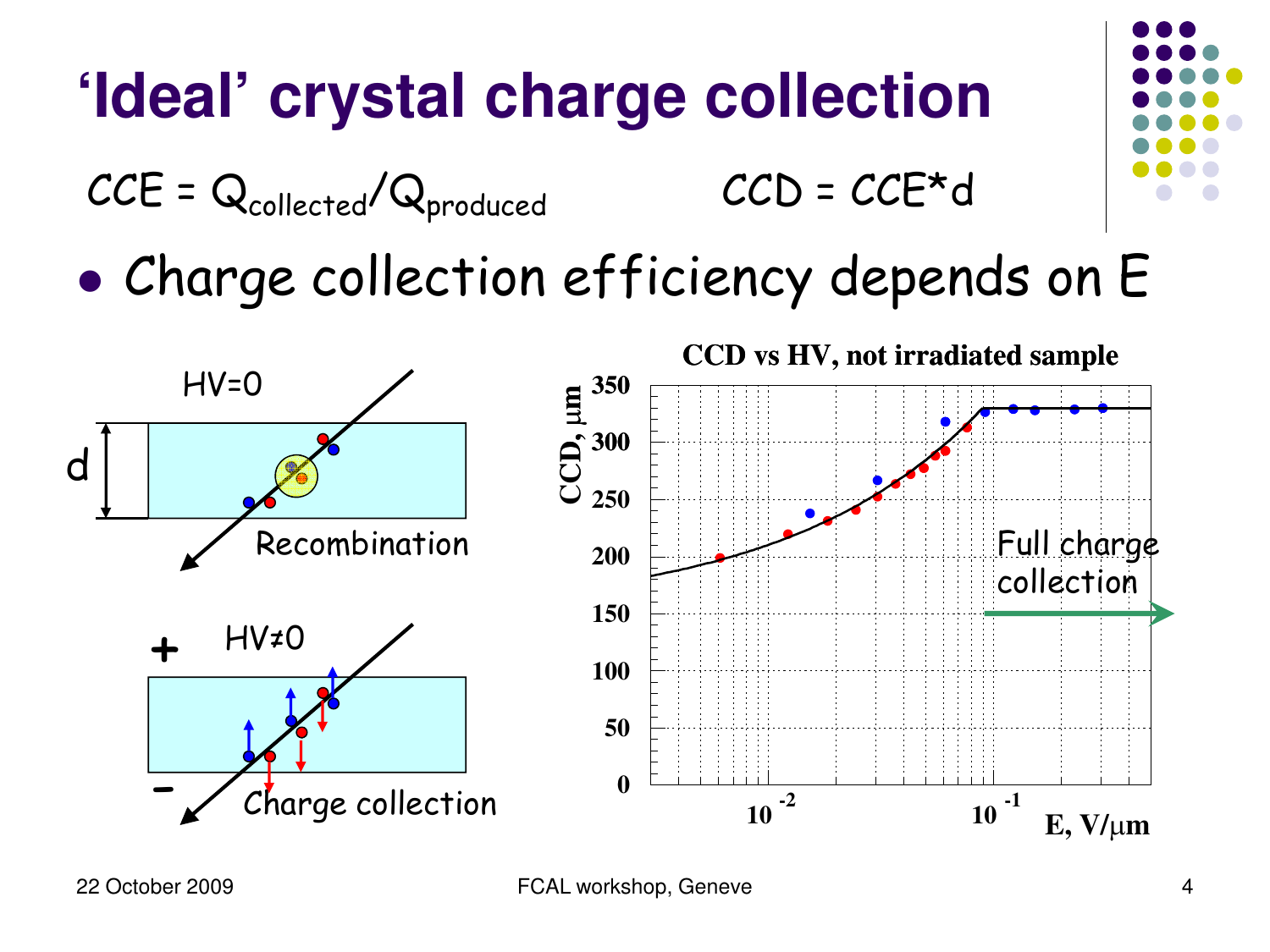### **'Ideal' crystal charge collection**

 $CCE = Q_{\text{collected}} / Q_{\text{produced}}$   $CCD = CCE * d$ 

• Charge collection efficiency depends on E

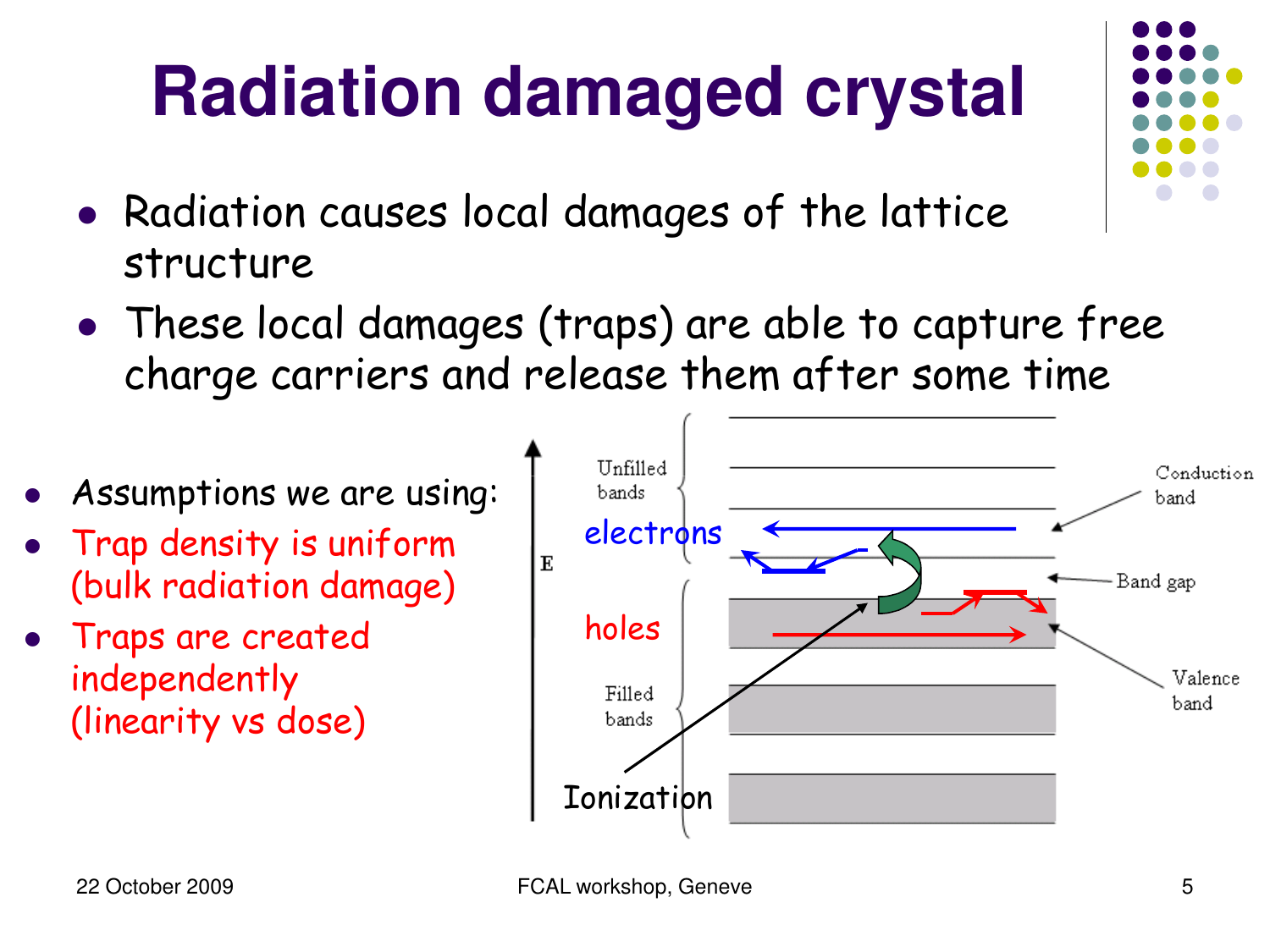## **Radiation damaged crystal**

- Radiation causes local damages of the lattice structure
- These local damages (traps) are able to capture free charge carriers and release them after some time
- Assumptions we are using:  $\bullet$
- Trap density is uniform (bulk radiation damage)
- Traps are created independently (linearity vs dose)

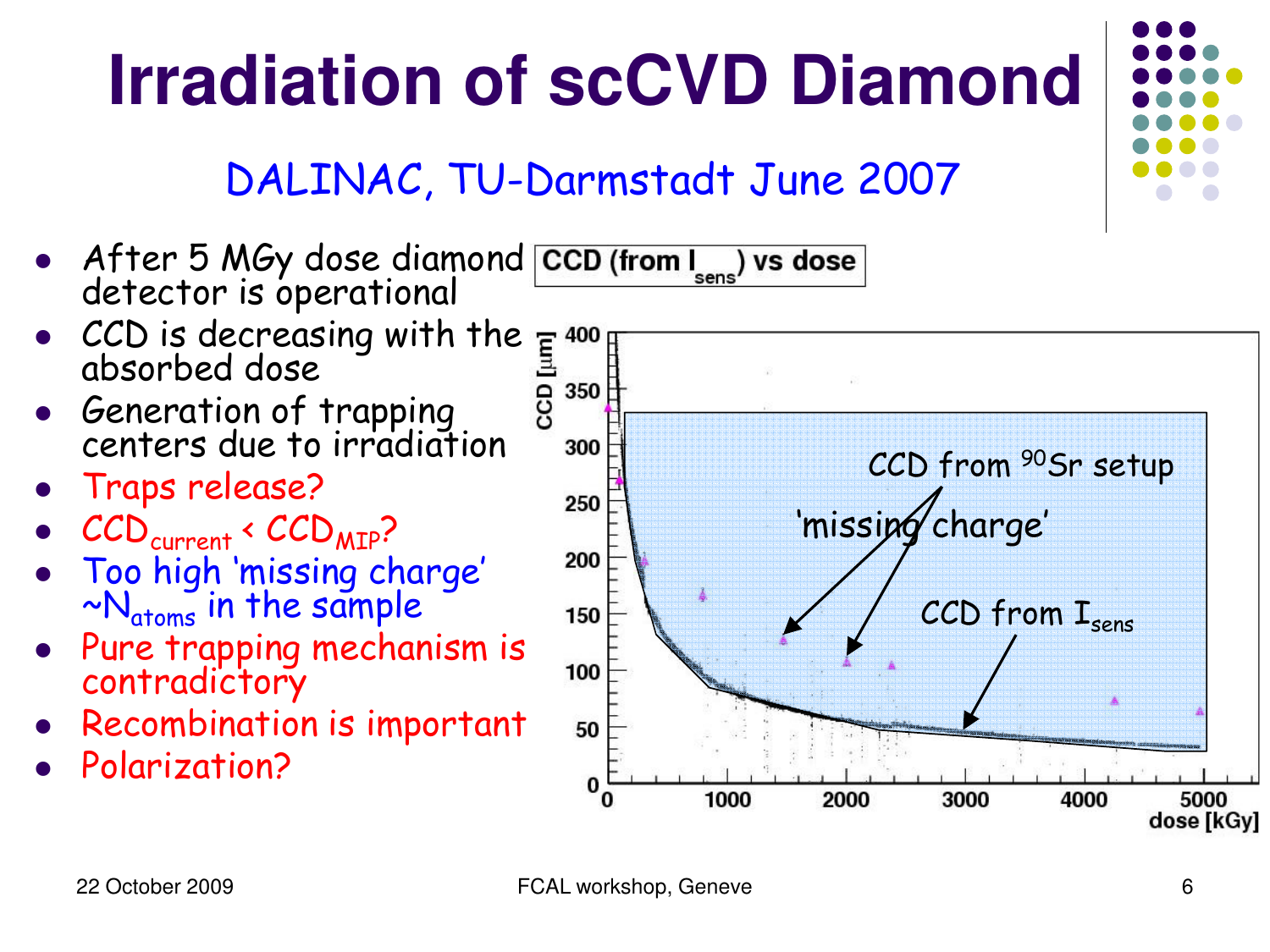## **Irradiation of scCVD Diamond**

#### DALINAC, TU-Darmstadt June 2007

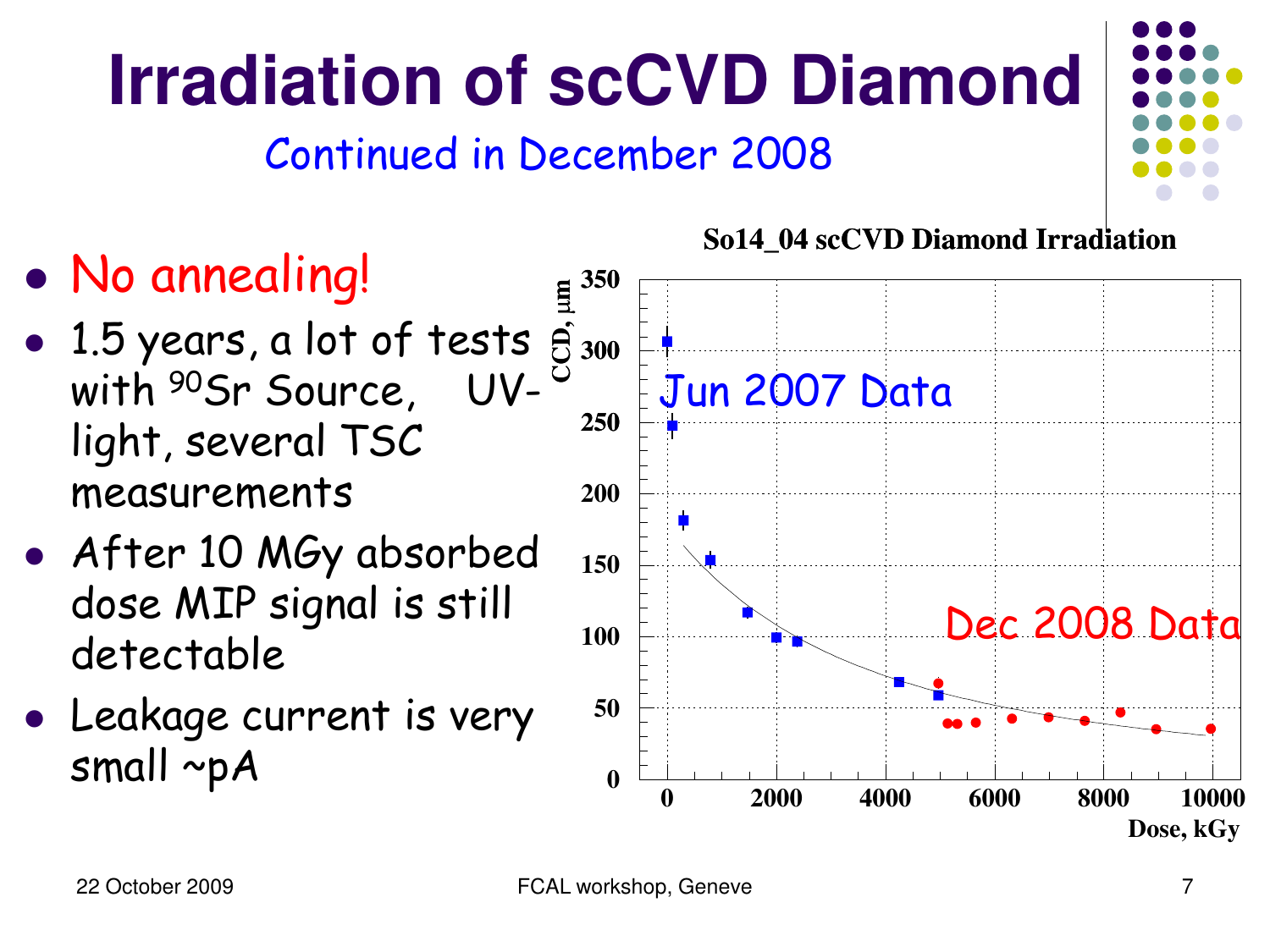# Continued in December 2008

**Irradiation of scCVD Diamond**

- No annealing!
- 1.5 years, a lot of tests with 90Sr Source, UVlight, several TSC measurements **CCD,**
- After 10 MGy absorbed dose MIP signal is still detectable
- Leakage current is very small ~pA





**So14\_04 scCVD Diamond Irradiation**

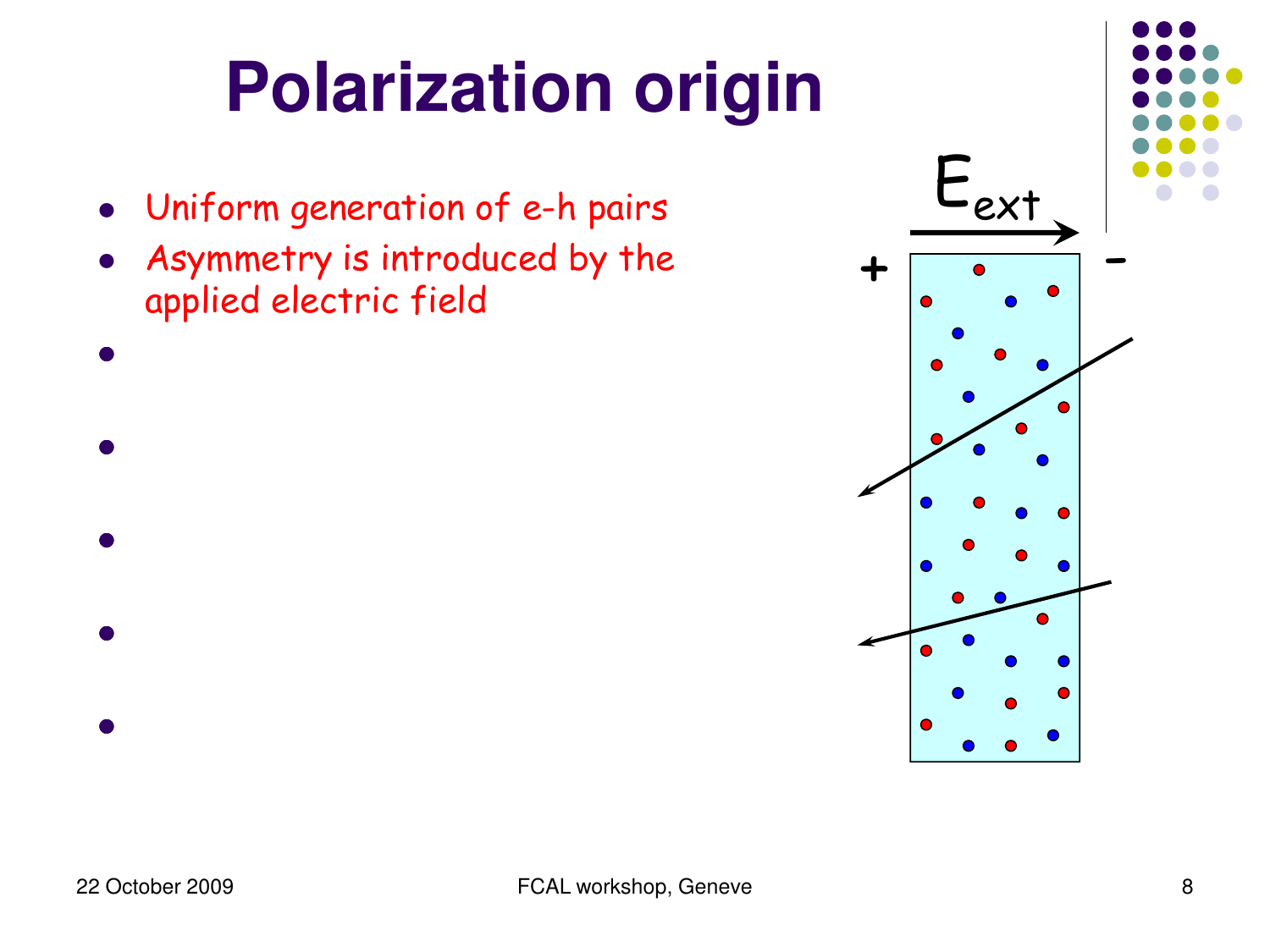- Uniform generation of e-h pairs
- Asymmetry is introduced by the applied electric field
- $\bullet$  let  $\bullet$  control the charge carrier density of  $\bullet$  carrier density  $\bullet$ l Asymmetric trap filling according to the trap filling  $\mathcal{A}$
- $\bullet$  charge charge charge charge charge charge can be bulk of  $\bullet$
- $\bullet$  let  $\bullet$  the external field  $\bullet$  the external field  $\bullet$
- l Polarization

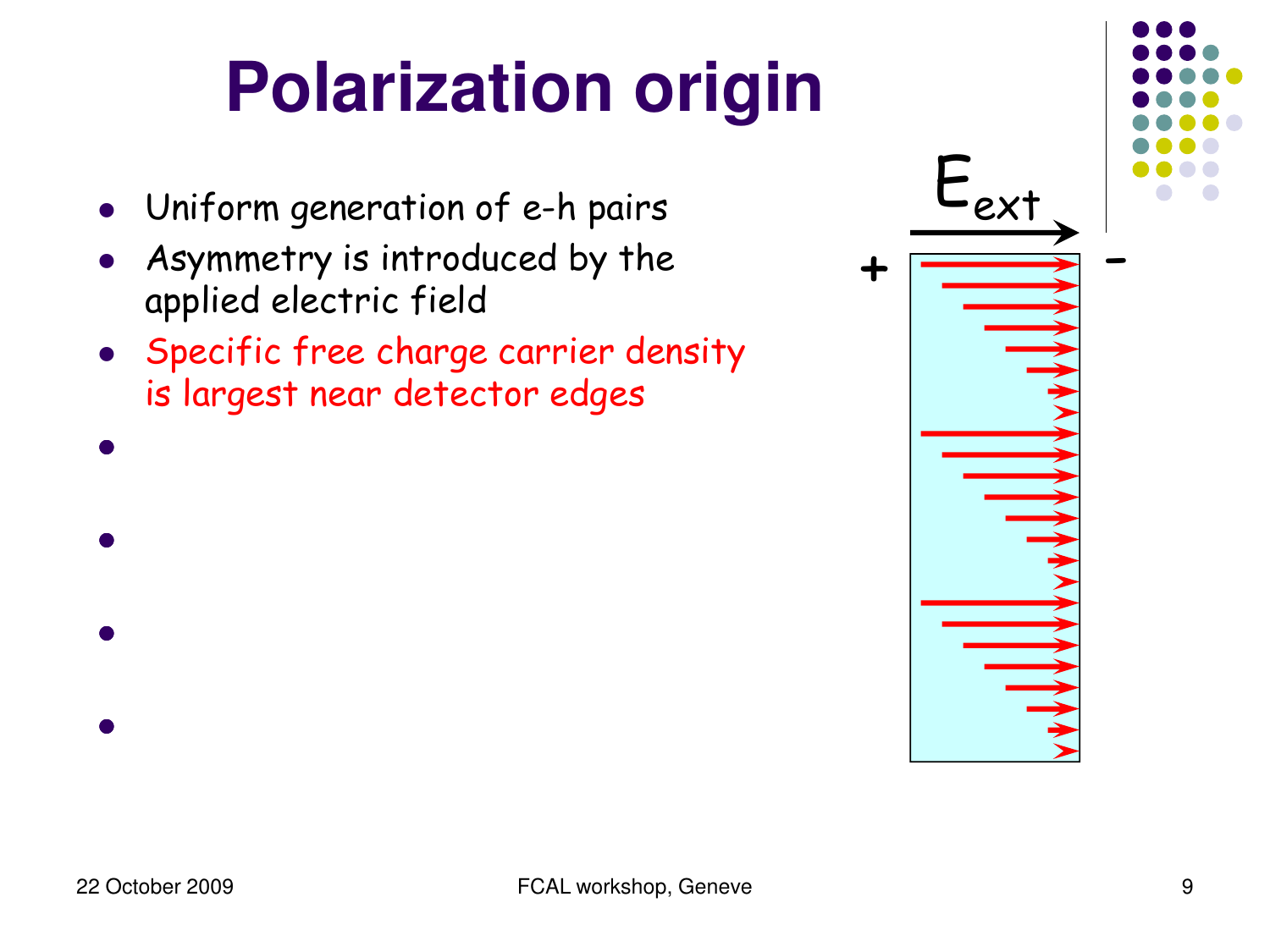- Uniform generation of e-h pairs
- Asymmetry is introduced by the applied electric field
- Specific free charge carrier density is largest near detector edges

l Asymmetric trap filling according to the trap filling  $\mathcal{A}$ 

 $\bullet$  charge charge charge charge charge charge can be bulk of  $\bullet$ 

 $\bullet$  let  $\bullet$  the external field  $\bullet$  the external field  $\bullet$ 



l Polarization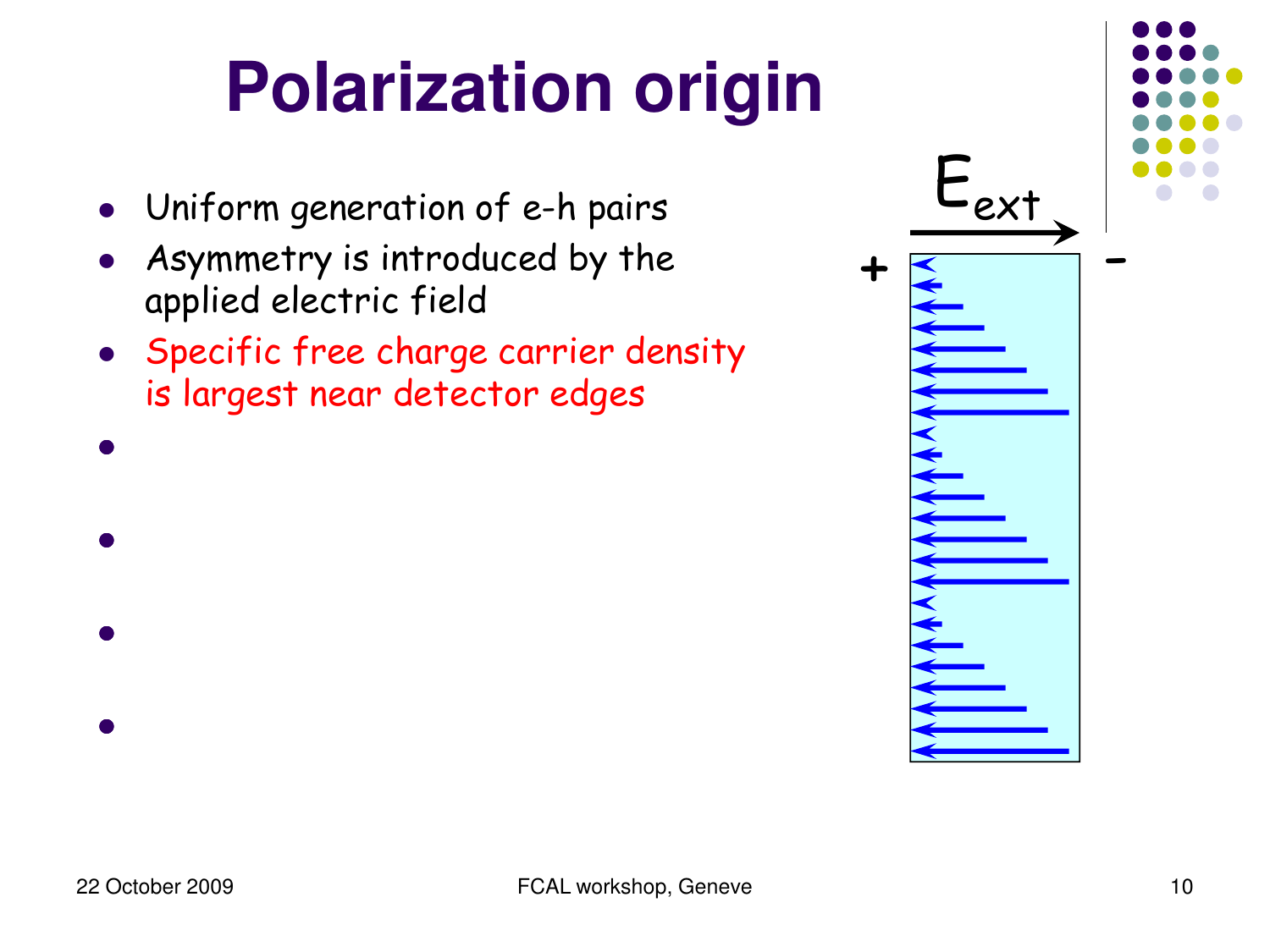- Uniform generation of e-h pairs
- Asymmetry is introduced by the applied electric field
- Specific free charge carrier density is largest near detector edges

l Asymmetric trap filling according to the trap filling  $\mathcal{A}$ 

 $\bullet$  charge charge charge charge charge charge can be bulk of  $\bullet$ 

 $\bullet$  let  $\bullet$  the external field  $\bullet$  the external field  $\bullet$ 



l Polarization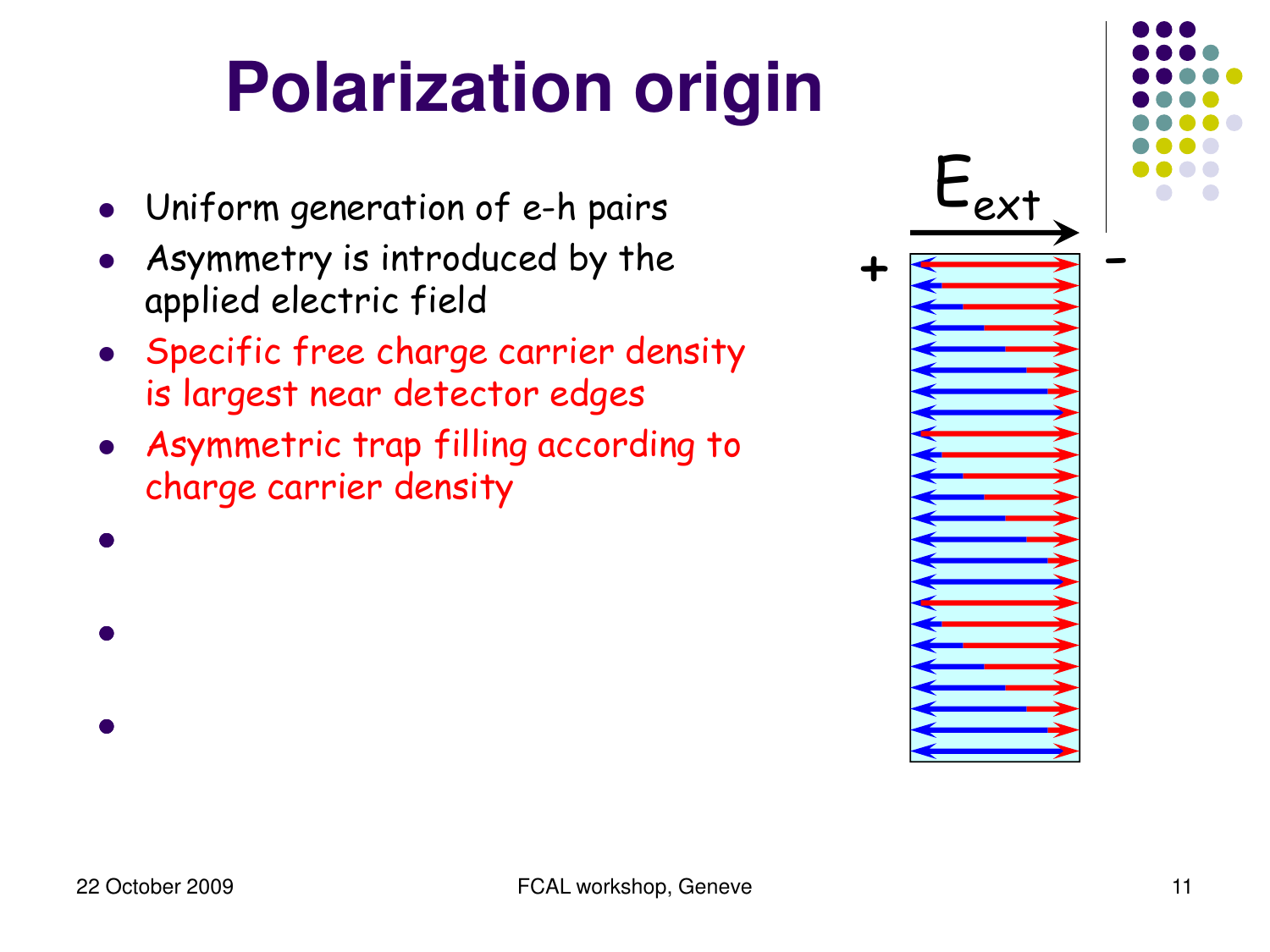- Uniform generation of e-h pairs
- Asymmetry is introduced by the applied electric field
- **Specific free charge carrier density** is largest near detector edges
- Asymmetric trap filling according to charge carrier density

 $\bullet$  charge charge charge charge charge charge can be bulk of  $\bullet$ 

 $\bullet$  let  $\bullet$  the external field  $\bullet$  the external field  $\bullet$ 



l Polarization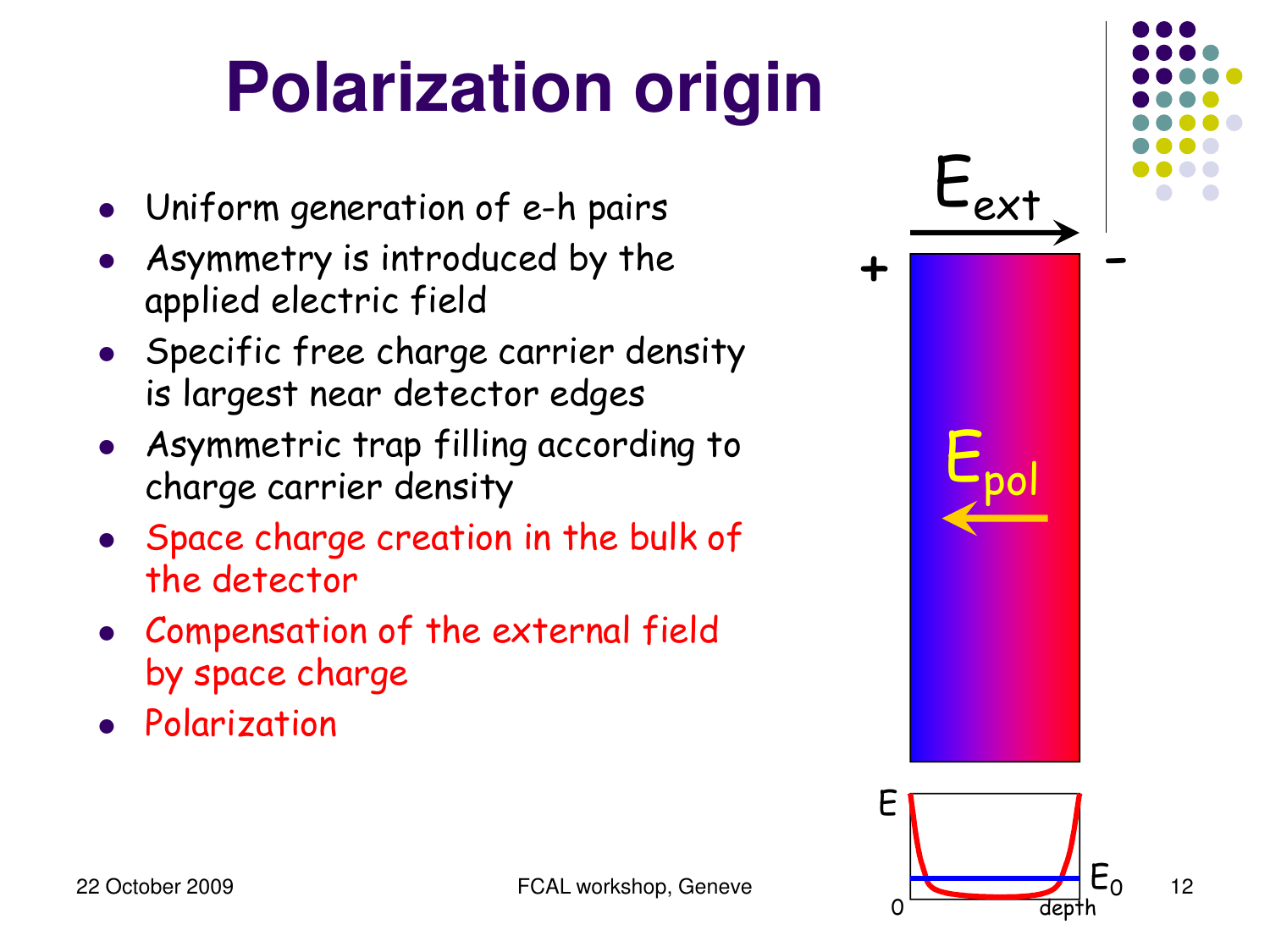- Uniform generation of e-h pairs
- Asymmetry is introduced by the applied electric field
- Specific free charge carrier density is largest near detector edges
- Asymmetric trap filling according to **Party Equator**<br>charge carrier density
- Space charge creation in the bulk of the detector
- Compensation of the external field by space charge
- **•** Polarization

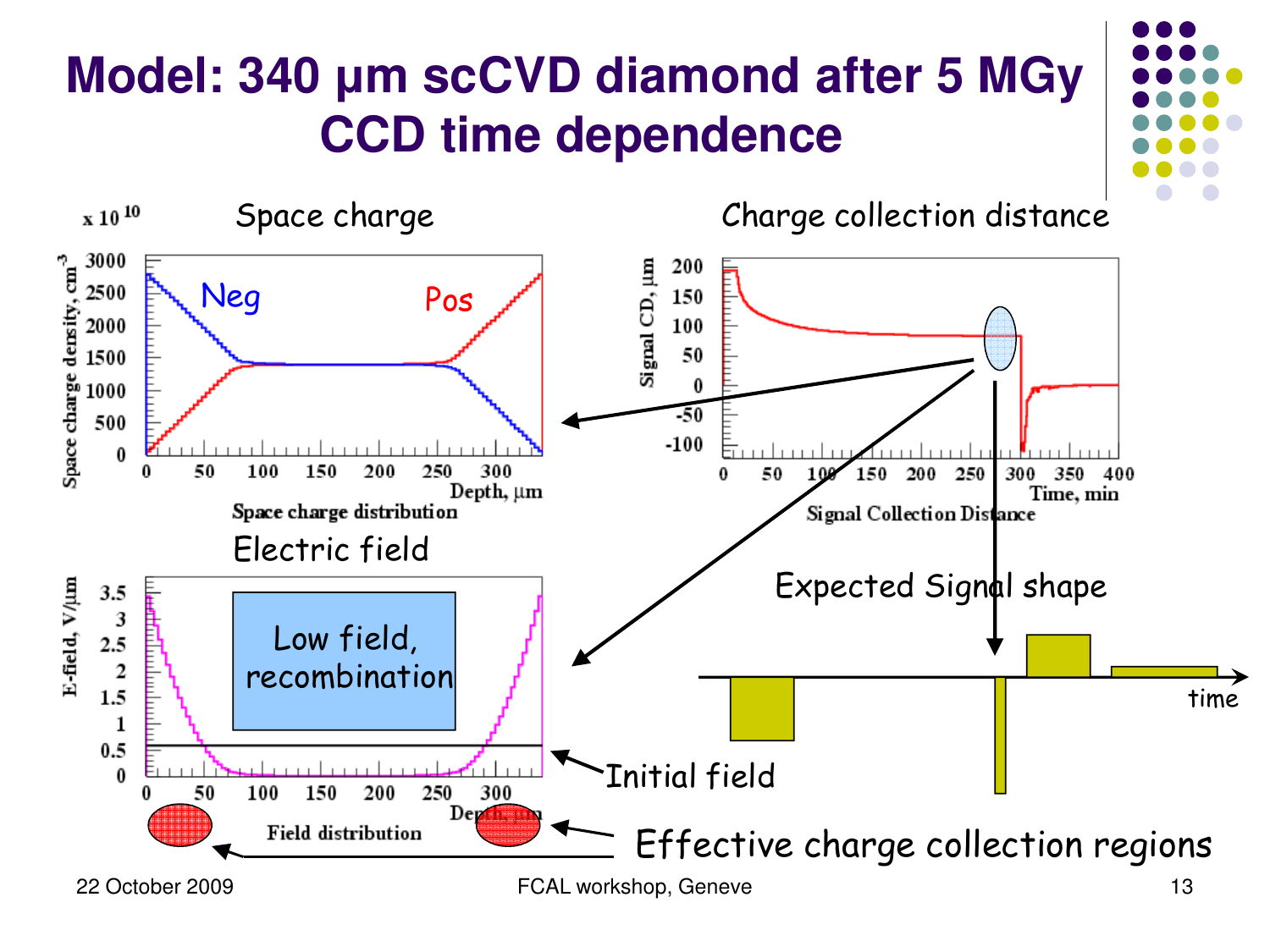#### **Model: 340 µm scCVD diamond after 5 MGy CCD time dependence**

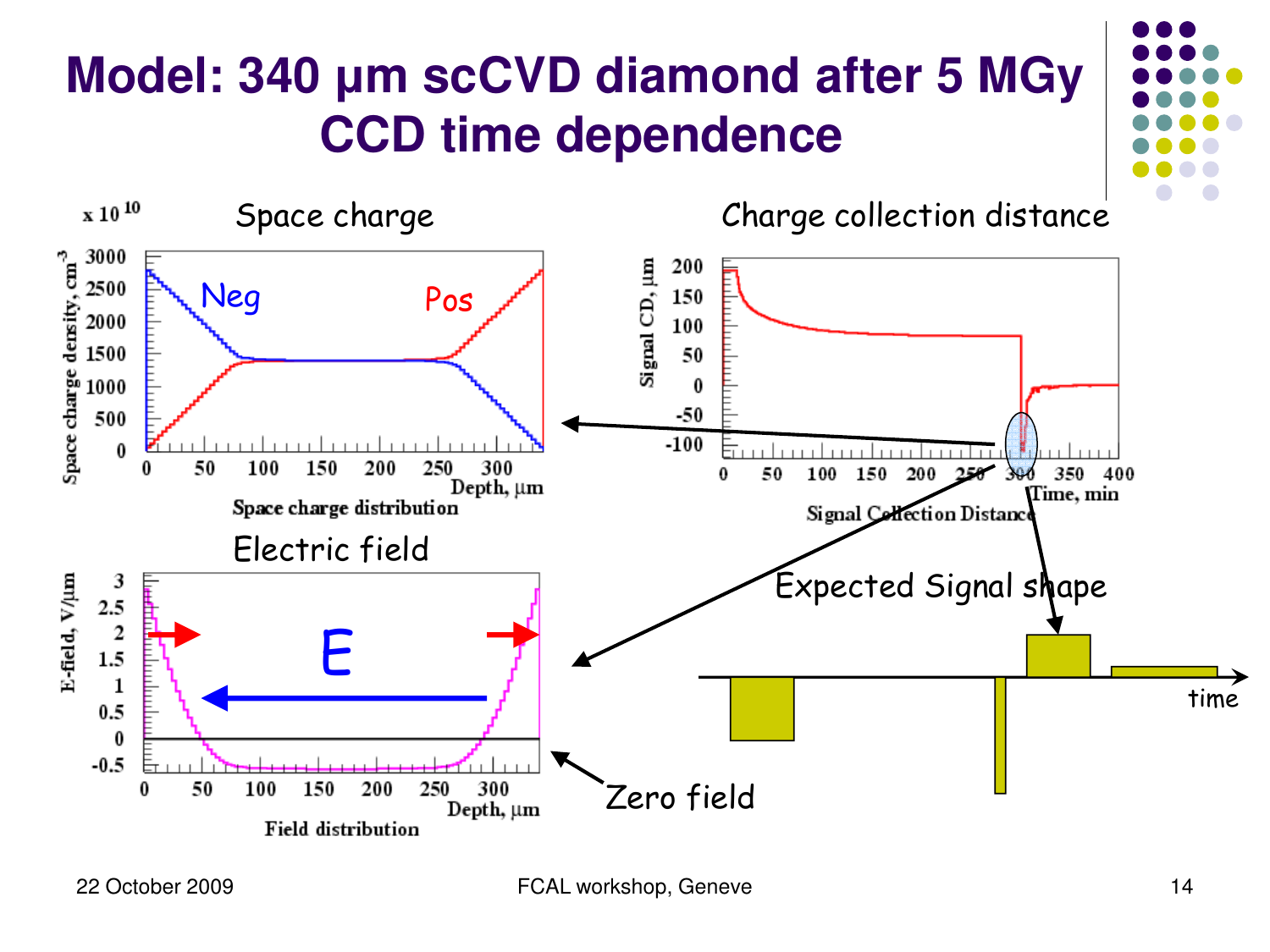#### **Model: 340 µm scCVD diamond after 5 MGy CCD time dependence**

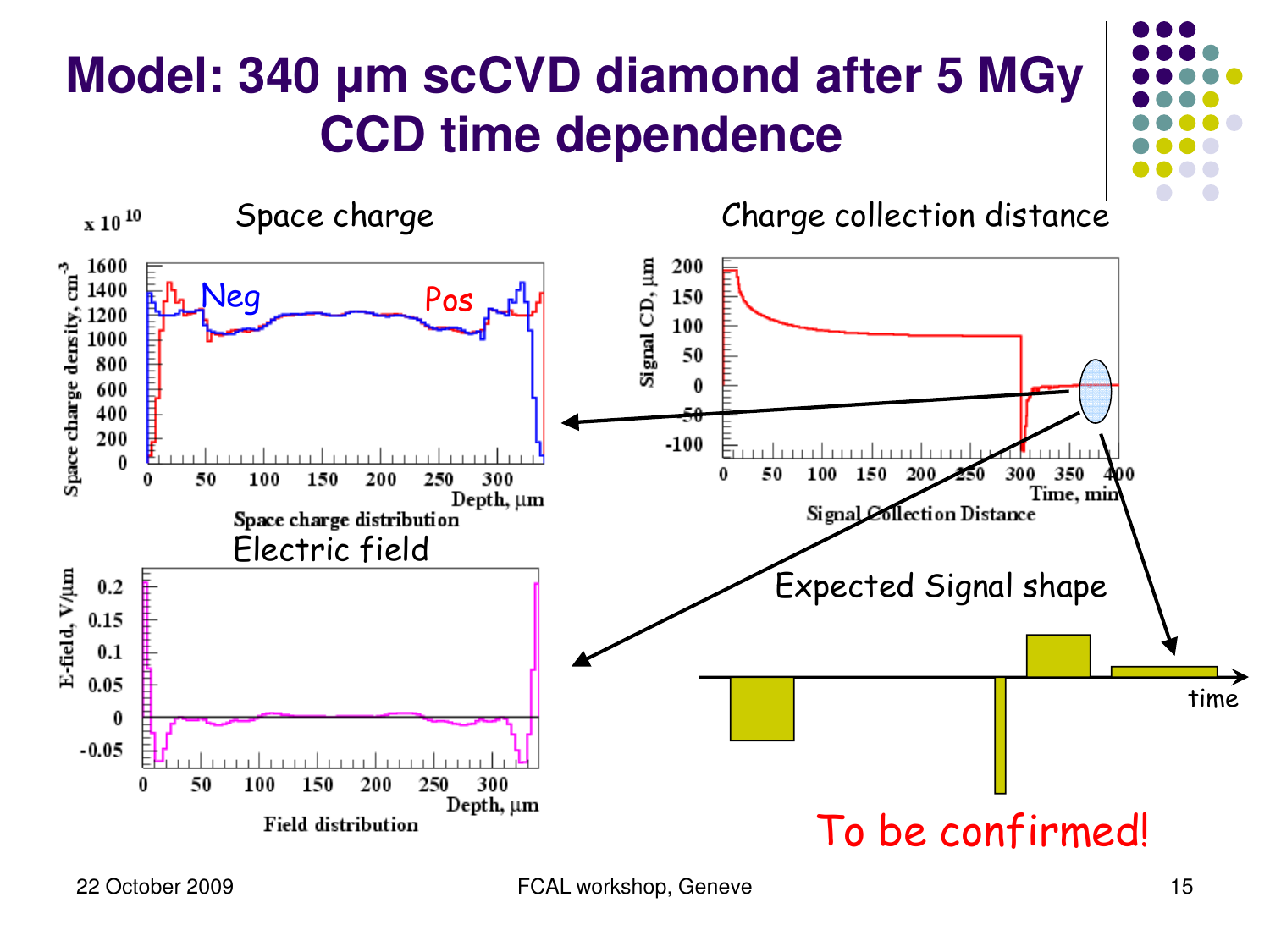#### **Model: 340 µm scCVD diamond after 5 MGy CCD time dependence**

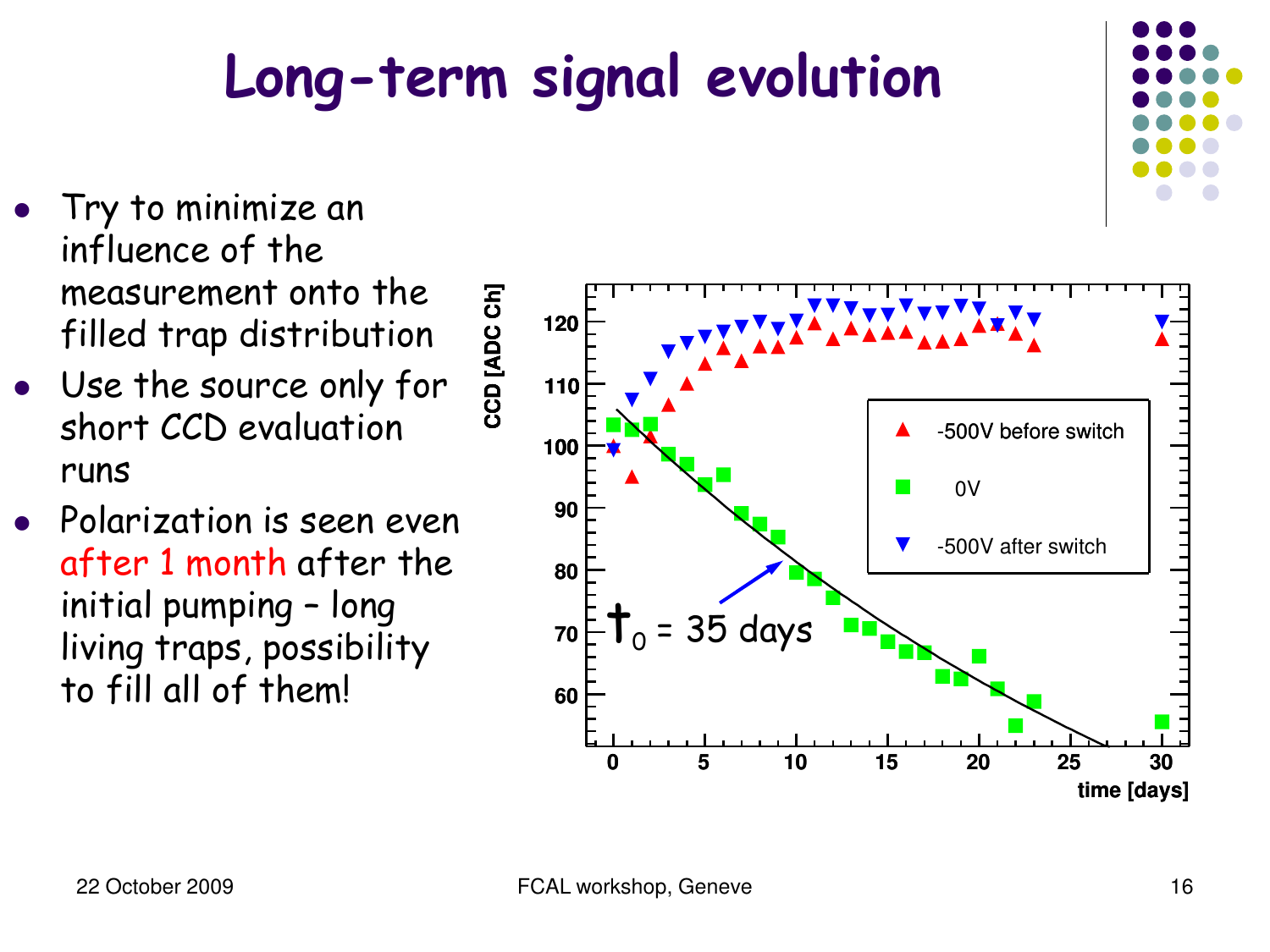### **Long-term signal evolution**

- l Try to minimize an influence of the measurement onto the filled trap distribution
- Use the source only for short CCD evaluation runs
- l Polarization is seen even after 1 month after the initial pumping – long living traps, possibility to fill all of them!



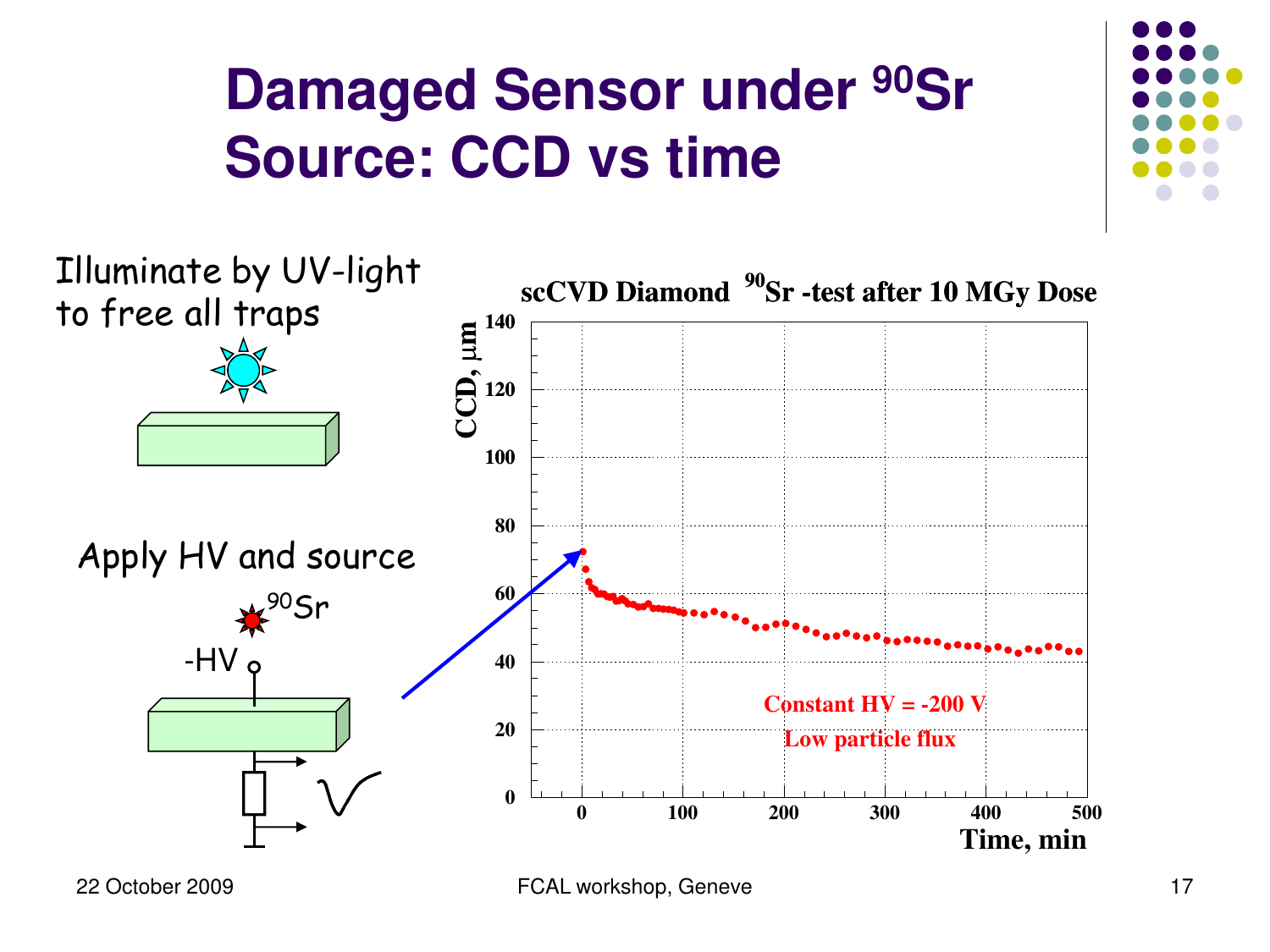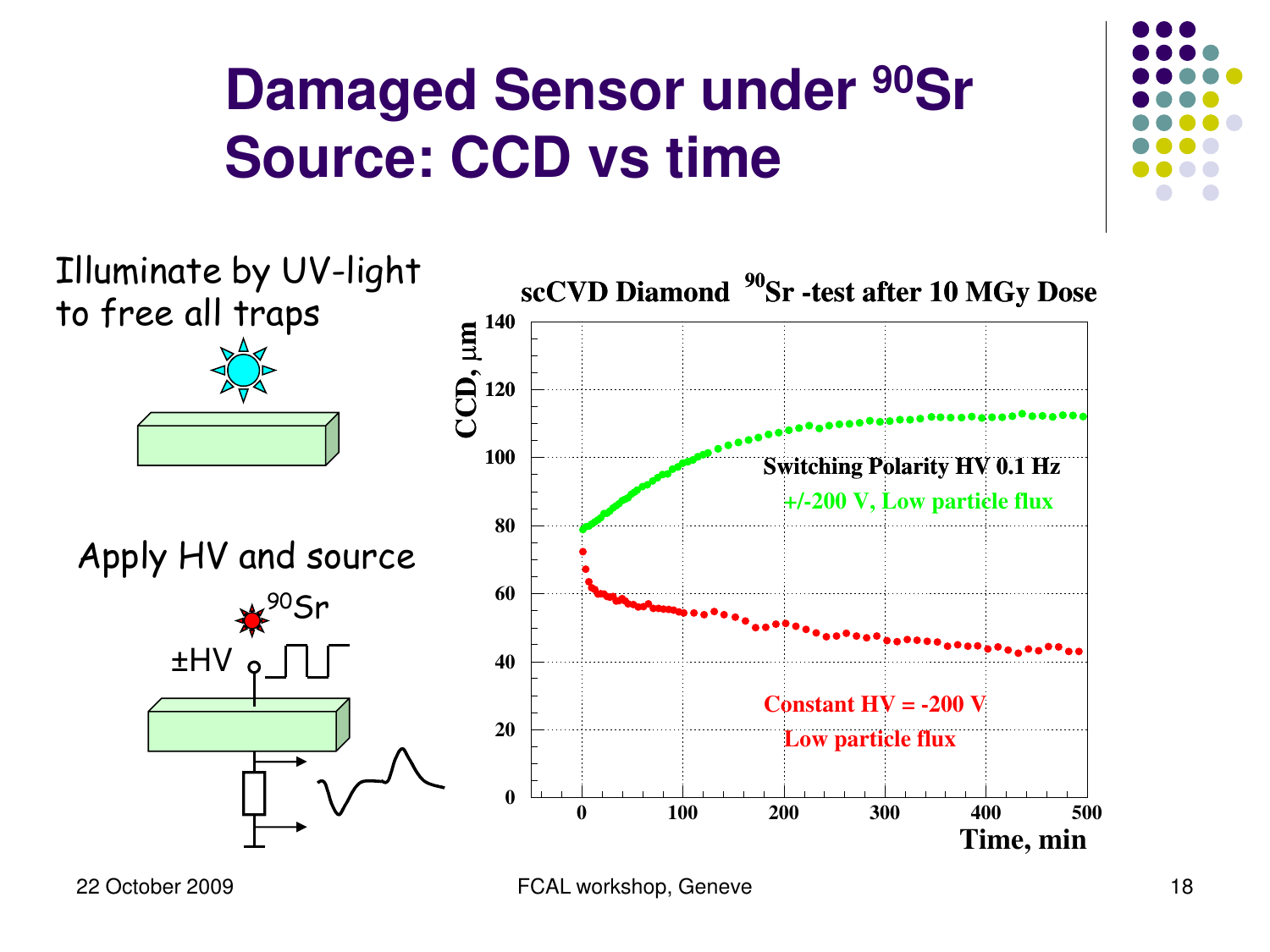

<sup>22</sup> October 2009 FCAL workshop, Geneve 18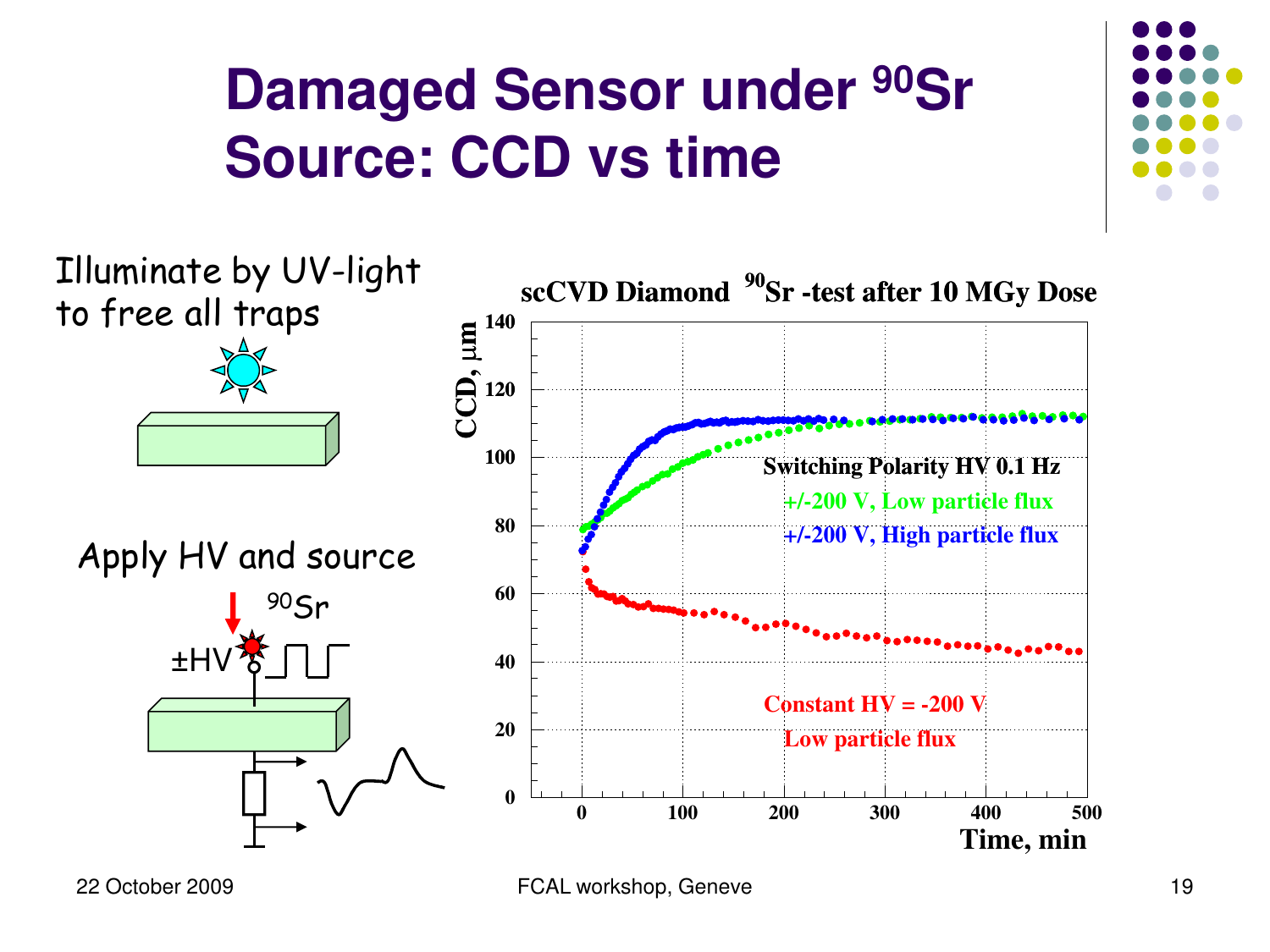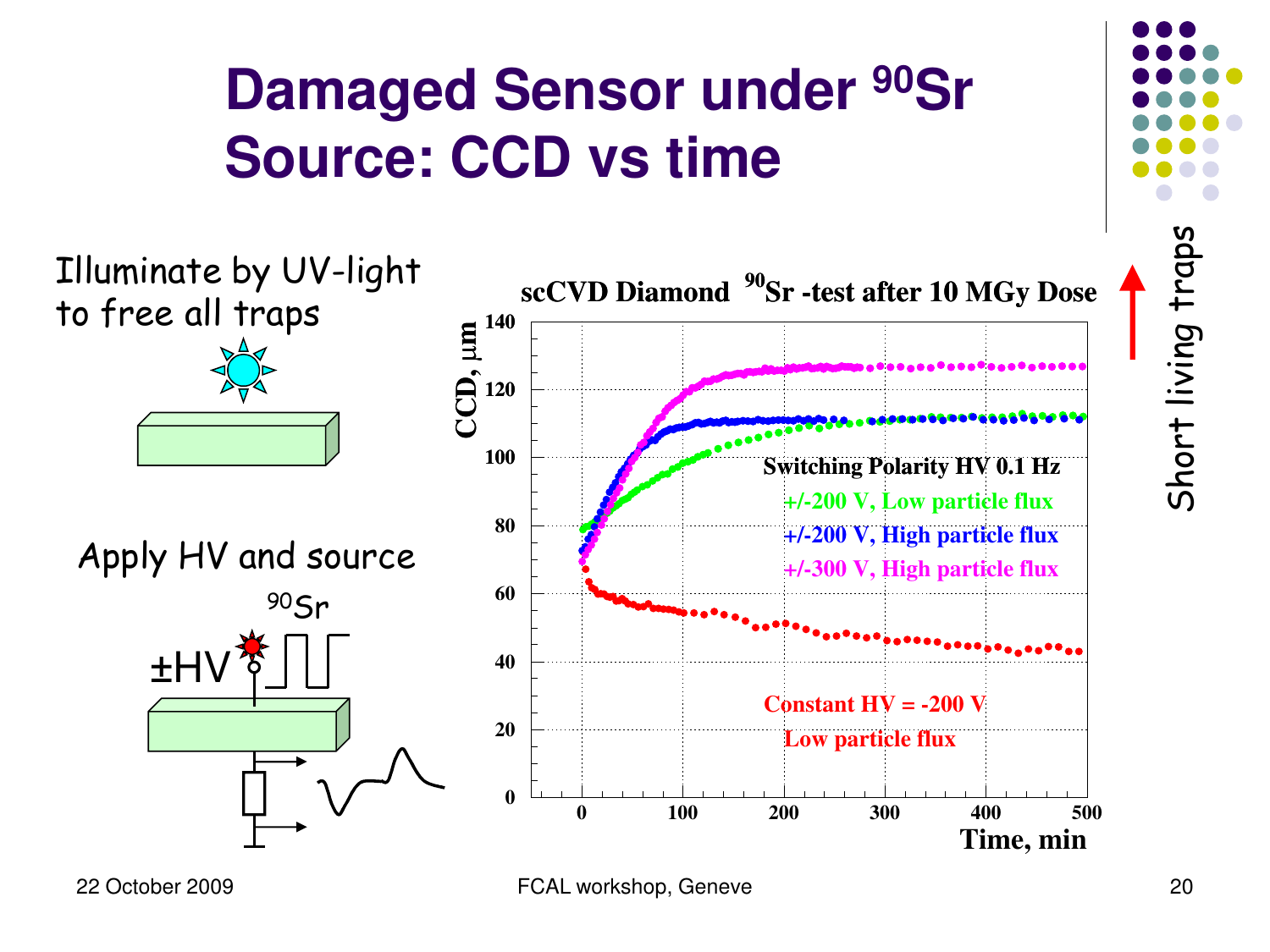



<sup>22</sup> October 2009 FCAL workshop, Geneve 20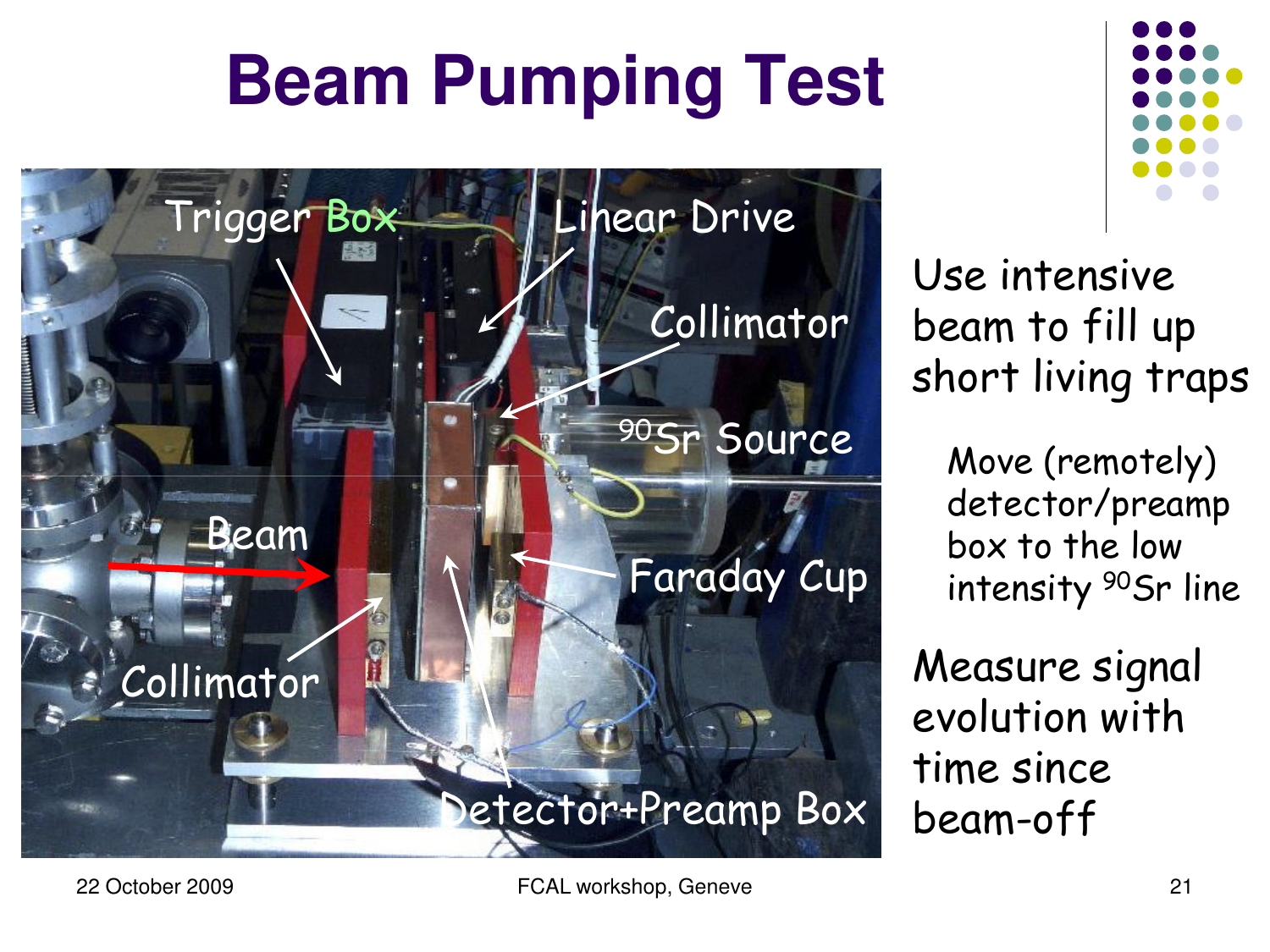## **Beam Pumping Test**





Use intensive beam to fill up short living traps

> Move (remotely) detector/preamp box to the low intensity <sup>90</sup>Sr line

Measure signal evolution with time since beam-off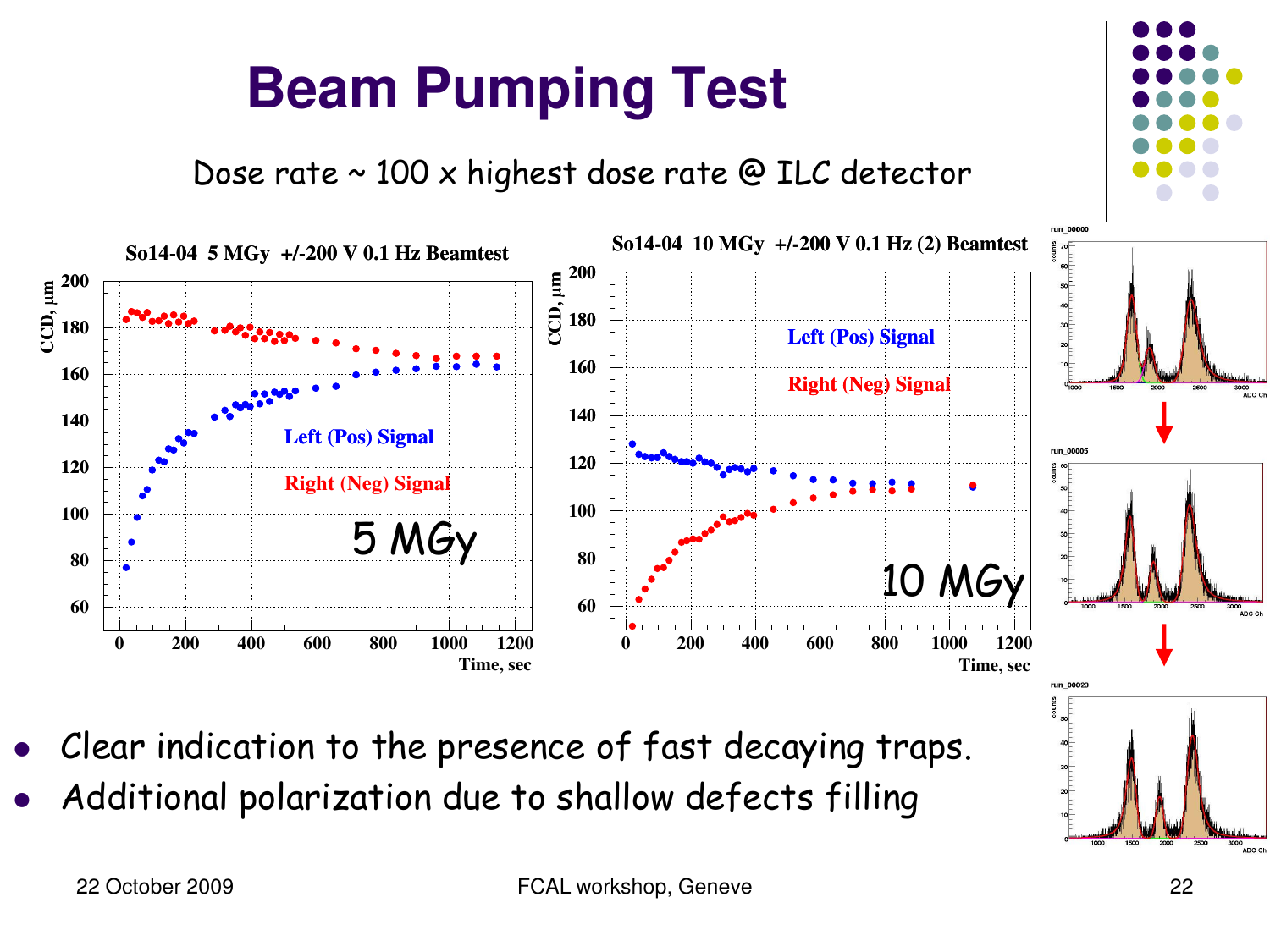### **Beam Pumping Test**

Dose rate ~ 100 x highest dose rate @ ILC detector



- Clear indication to the presence of fast decaying traps.
- Additional polarization due to shallow defects filling

.<br>ADC C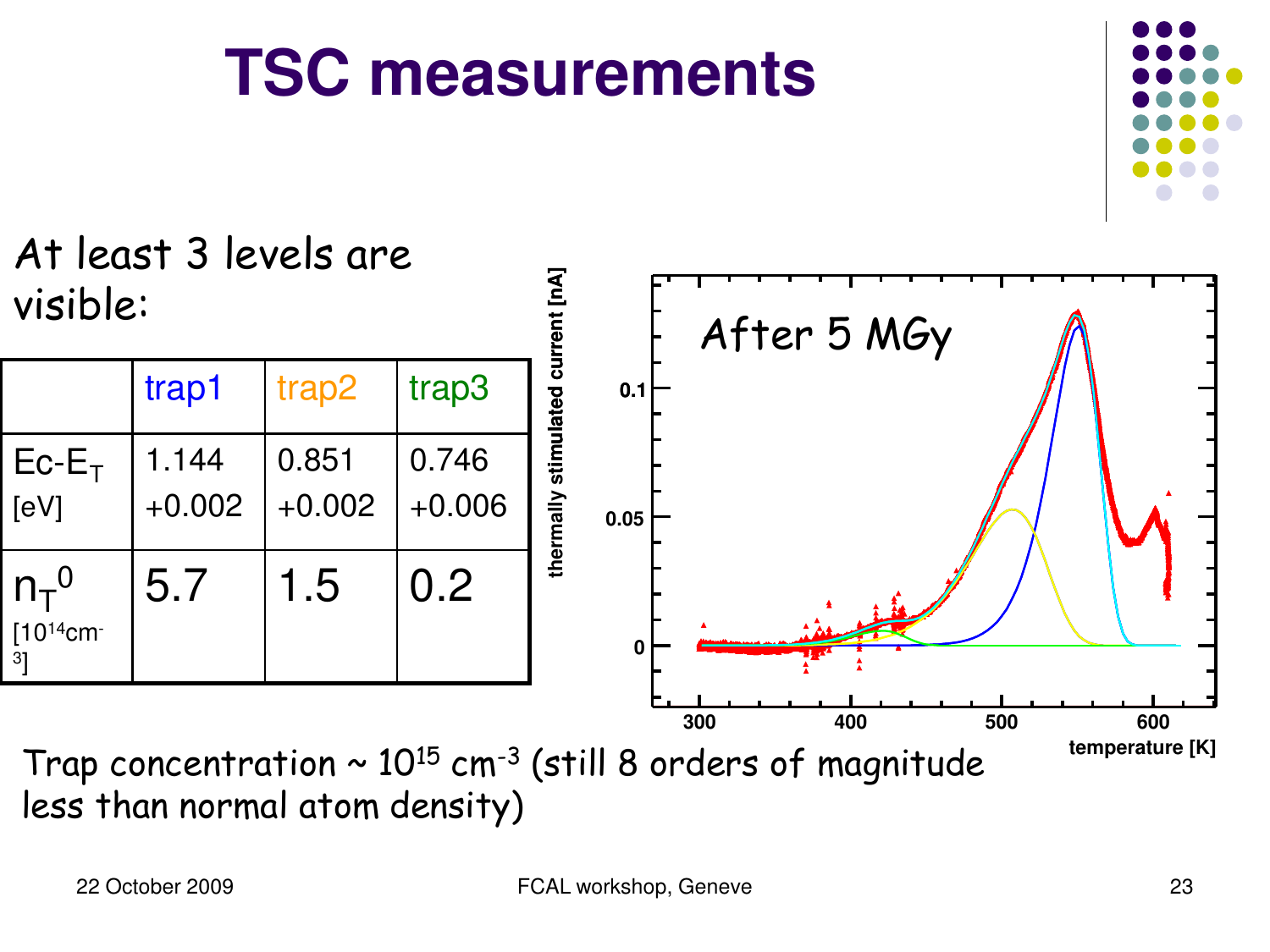3 ]

At least 3 levels are

#### **TSC measurements**



**temperature [K] 300 400 500 600**

Trap concentration  $\sim 10^{15}$  cm<sup>-3</sup> (still 8 orders of magnitude less than normal atom density)

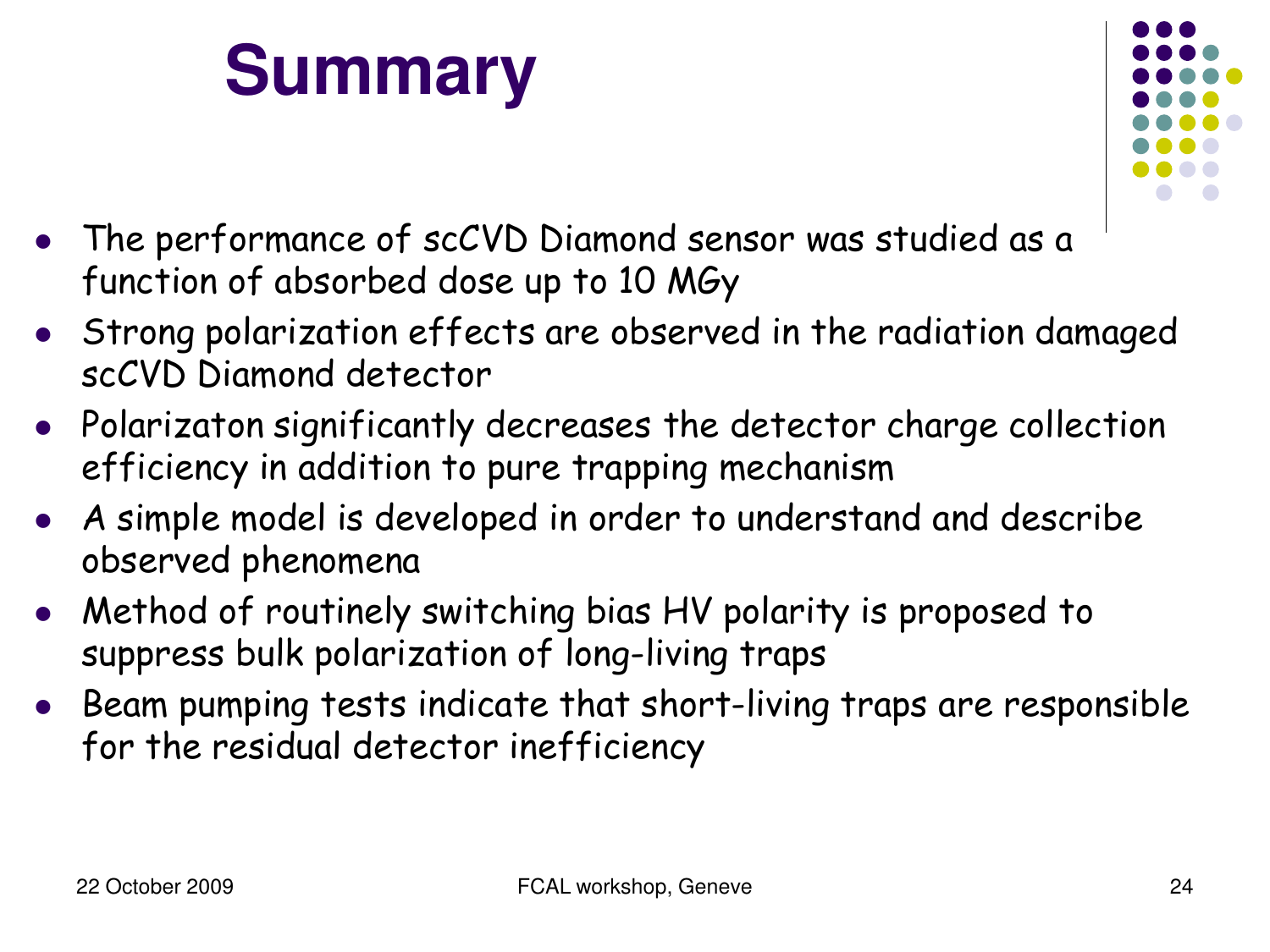## **Summary**



- The performance of scCVD Diamond sensor was studied as a function of absorbed dose up to 10 MGy
- Strong polarization effects are observed in the radiation damaged scCVD Diamond detector
- Polarizaton significantly decreases the detector charge collection efficiency in addition to pure trapping mechanism
- A simple model is developed in order to understand and describe observed phenomena
- Method of routinely switching bias HV polarity is proposed to suppress bulk polarization of long-living traps
- Beam pumping tests indicate that short-living traps are responsible for the residual detector inefficiency